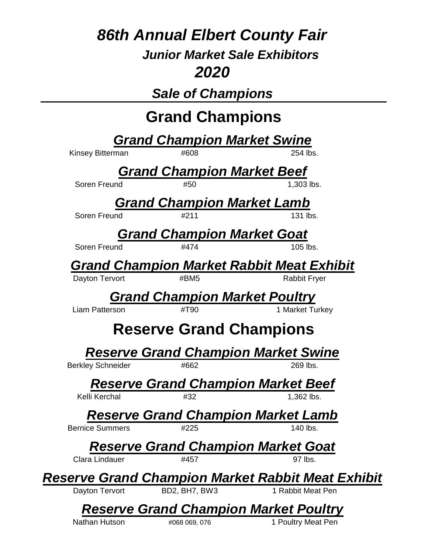# Kinsey Bitterman  $#608$  254 lbs. Soren Freund **#50**  $#50$  1,303 lbs. Soren Freund **#211**  $#211$  131 lbs. Soren Freund #474 105 lbs. Dayton Tervort **#BM5** #BM5 Rabbit Fryer Liam Patterson **#T90** #T90 1 Market Turkey Berkley Schneider **#662** #662 269 lbs. Kelli Kerchal **432 1,362** lbs. Bernice Summers #225 140 lbs. Clara Lindauer #457 + 457 Dayton Tervort BD2, BH7, BW3 1 Rabbit Meat Pen *Grand Champion Market Beef Grand Champion Market Lamb Grand Champion Market Swine Grand Champion Market Goat* **Reserve Grand Champions** *Reserve Grand Champion Market Lamb Reserve Grand Champion Market Swine Reserve Grand Champion Market Beef Reserve Grand Champion Market Poultry Reserve Grand Champion Market Goat Reserve Grand Champion Market Rabbit Meat Exhibit Grand Champion Market Rabbit Meat Exhibit Grand Champion Market Poultry 86th Annual Elbert County Fair Junior Market Sale Exhibitors 2020 Sale of Champions* **Grand Champions**

Nathan Hutson  $\mu$   $\mu$  068 069, 076 1 Poultry Meat Pen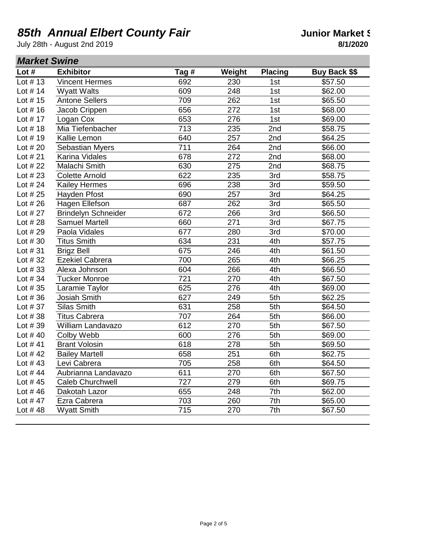## **85th Annual Elbert County Fair Junior Market Structure 10 Annual Elbert County Fair**

July 28th - August 2nd 2019 **8/1/2020**

| <b>Market Swine</b> |                            |      |        |                |                      |
|---------------------|----------------------------|------|--------|----------------|----------------------|
| Lot $#$             | <b>Exhibitor</b>           | Tag# | Weight | <b>Placing</b> | <b>Buy Back \$\$</b> |
| Lot #13             | <b>Vincent Hermes</b>      | 692  | 230    | 1st            | \$57.50              |
| Lot $# 14$          | <b>Wyatt Walts</b>         | 609  | 248    | 1st            | \$62.00              |
| Lot # 15            | <b>Antone Sellers</b>      | 709  | 262    | 1st            | \$65.50              |
| Lot $# 16$          | Jacob Crippen              | 656  | 272    | 1st            | \$68.00              |
| Lot $# 17$          | Logan Cox                  | 653  | 276    | 1st            | \$69.00              |
| Lot $# 18$          | Mia Tiefenbacher           | 713  | 235    | 2nd            | \$58.75              |
| Lot $# 19$          | Kallie Lemon               | 640  | 257    | 2nd            | \$64.25              |
| Lot $#20$           | Sebastian Myers            | 711  | 264    | 2nd            | \$66.00              |
| Lot $#21$           | Karina Vidales             | 678  | 272    | 2nd            | \$68.00              |
| Lot $#22$           | Malachi Smith              | 630  | 275    | 2nd            | \$68.75              |
| Lot $#23$           | <b>Colette Arnold</b>      | 622  | 235    | 3rd            | \$58.75              |
| Lot $#24$           | <b>Kailey Hermes</b>       | 696  | 238    | 3rd            | \$59.50              |
| Lot # 25            | Hayden Pfost               | 690  | 257    | 3rd            | \$64.25              |
| Lot #26             | Hagen Ellefson             | 687  | 262    | 3rd            | \$65.50              |
| Lot # 27            | <b>Brindelyn Schneider</b> | 672  | 266    | 3rd            | \$66.50              |
| Lot #28             | <b>Samuel Martell</b>      | 660  | 271    | 3rd            | \$67.75              |
| Lot # 29            | Paola Vidales              | 677  | 280    | 3rd            | \$70.00              |
| Lot $#30$           | <b>Titus Smith</b>         | 634  | 231    | 4th            | \$57.75              |
| Lot $#31$           | <b>Brigz Bell</b>          | 675  | 246    | 4th            | \$61.50              |
| Lot $#32$           | <b>Ezekiel Cabrera</b>     | 700  | 265    | 4th            | \$66.25              |
| Lot $#33$           | Alexa Johnson              | 604  | 266    | 4th            | \$66.50              |
| Lot $#34$           | <b>Tucker Monroe</b>       | 721  | 270    | 4th            | \$67.50              |
| Lot $#35$           | Laramie Taylor             | 625  | 276    | 4th            | \$69.00              |
| Lot $#36$           | Josiah Smith               | 627  | 249    | 5th            | \$62.25              |
| Lot $#37$           | Silas Smith                | 631  | 258    | 5th            | \$64.50              |
| Lot $#38$           | <b>Titus Cabrera</b>       | 707  | 264    | 5th            | \$66.00              |
| Lot $#39$           | William Landavazo          | 612  | 270    | 5th            | \$67.50              |
| Lot $#40$           | Colby Webb                 | 600  | 276    | 5th            | \$69.00              |
| Lot #41             | <b>Brant Volosin</b>       | 618  | 278    | 5th            | \$69.50              |
| Lot $#42$           | <b>Bailey Martell</b>      | 658  | 251    | 6th            | \$62.75              |
| Lot $#43$           | Levi Cabrera               | 705  | 258    | 6th            | \$64.50              |
| Lot $#44$           | Aubrianna Landavazo        | 611  | 270    | 6th            | \$67.50              |
| Lot $#45$           | <b>Caleb Churchwell</b>    | 727  | 279    | 6th            | \$69.75              |
| Lot $#46$           | Dakotah Lazor              | 655  | 248    | 7th            | \$62.00              |
| Lot $#47$           | Ezra Cabrera               | 703  | 260    | 7th            | \$65.00              |
| Lot $#48$           | <b>Wyatt Smith</b>         | 715  | 270    | 7th            | \$67.50              |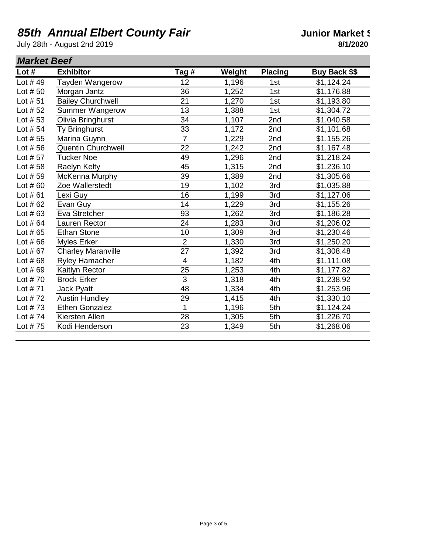## **85th Annual Elbert County Fair Junior Market Structure 10 Annual Elbert County Fair**

July 28th - August 2nd 2019 **8/1/2020**

| <b>Market Beef</b> |                           |                |        |                |               |
|--------------------|---------------------------|----------------|--------|----------------|---------------|
| Lot #              | <b>Exhibitor</b>          | Tag $#$        | Weight | <b>Placing</b> | Buy Back \$\$ |
| Lot $#49$          | Tayden Wangerow           | 12             | 1,196  | 1st            | \$1,124.24    |
| Lot $# 50$         | Morgan Jantz              | 36             | 1,252  | 1st            | \$1,176.88    |
| Lot $# 51$         | <b>Bailey Churchwell</b>  | 21             | 1,270  | 1st            | \$1,193.80    |
| Lot $# 52$         | Summer Wangerow           | 13             | 1,388  | 1st            | \$1,304.72    |
| Lot $# 53$         | Olivia Bringhurst         | 34             | 1,107  | 2nd            | \$1,040.58    |
| Lot $# 54$         | Ty Bringhurst             | 33             | 1,172  | 2nd            | \$1,101.68    |
| Lot $# 55$         | Marina Guynn              | $\overline{7}$ | 1,229  | 2nd            | \$1,155.26    |
| Lot $# 56$         | <b>Quentin Churchwell</b> | 22             | 1,242  | 2nd            | \$1,167.48    |
| Lot $# 57$         | <b>Tucker Noe</b>         | 49             | 1,296  | 2nd            | \$1,218.24    |
| Lot $# 58$         | Raelyn Kelty              | 45             | 1,315  | 2nd            | \$1,236.10    |
| Lot #59            | McKenna Murphy            | 39             | 1,389  | 2nd            | \$1,305.66    |
| Lot $#60$          | Zoe Wallerstedt           | 19             | 1,102  | 3rd            | \$1,035.88    |
| Lot $#61$          | Lexi Guy                  | 16             | 1,199  | 3rd            | \$1,127.06    |
| Lot $#62$          | Evan Guy                  | 14             | 1,229  | 3rd            | \$1,155.26    |
| Lot #63            | Eva Stretcher             | 93             | 1,262  | 3rd            | \$1,186.28    |
| Lot $#64$          | Lauren Rector             | 24             | 1,283  | 3rd            | \$1,206.02    |
| Lot $#65$          | <b>Ethan Stone</b>        | 10             | 1,309  | 3rd            | \$1,230.46    |
| Lot $#66$          | <b>Myles Erker</b>        | $\overline{2}$ | 1,330  | 3rd            | \$1,250.20    |
| Lot $# 67$         | <b>Charley Maranville</b> | 27             | 1,392  | 3rd            | \$1,308.48    |
| Lot $#68$          | <b>Ryley Hamacher</b>     | $\overline{4}$ | 1,182  | 4th            | \$1,111.08    |
| Lot #69            | Kaitlyn Rector            | 25             | 1,253  | 4th            | \$1,177.82    |
| Lot $# 70$         | <b>Brock Erker</b>        | 3              | 1,318  | 4th            | \$1,238.92    |
| Lot $# 71$         | Jack Pyatt                | 48             | 1,334  | 4th            | \$1,253.96    |
| Lot $# 72$         | <b>Austin Hundley</b>     | 29             | 1,415  | 4th            | \$1,330.10    |
| Lot #73            | <b>Ethen Gonzalez</b>     | 1              | 1,196  | 5th            | \$1,124.24    |
| Lot $#74$          | Kiersten Allen            | 28             | 1,305  | 5th            | \$1,226.70    |
| Lot $# 75$         | Kodi Henderson            | 23             | 1,349  | 5th            | \$1,268.06    |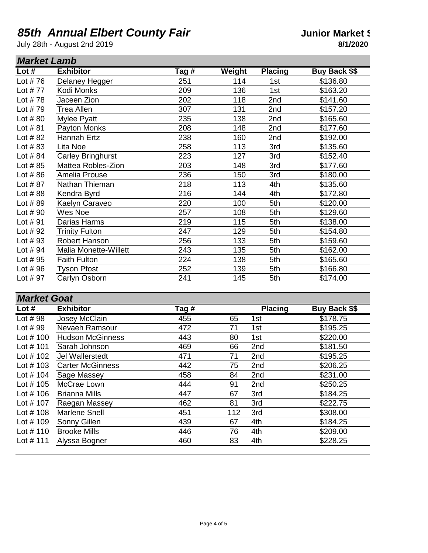### **85th Annual Elbert County Fair Junior Market Structure 10 Annual Elbert County Fair**

July 28th - August 2nd 2019 **8/1/2020**

| <b>Market Lamb</b> |                          |       |        |                |               |
|--------------------|--------------------------|-------|--------|----------------|---------------|
| Lot#               | <b>Exhibitor</b>         | Tag # | Weight | <b>Placing</b> | Buy Back \$\$ |
| Lot $#76$          | Delaney Hegger           | 251   | 114    | 1st            | \$136.80      |
| Lot $# 77$         | Kodi Monks               | 209   | 136    | 1st            | \$163.20      |
| Lot $#78$          | Jaceen Zion              | 202   | 118    | 2nd            | \$141.60      |
| Lot $#79$          | <b>Trea Allen</b>        | 307   | 131    | 2nd            | \$157.20      |
| Lot $#80$          | Mylee Pyatt              | 235   | 138    | 2nd            | \$165.60      |
| Lot $#81$          | Payton Monks             | 208   | 148    | 2nd            | \$177.60      |
| Lot $#82$          | Hannah Ertz              | 238   | 160    | 2nd            | \$192.00      |
| Lot $#83$          | Lita Noe                 | 258   | 113    | 3rd            | \$135.60      |
| Lot $#84$          | <b>Carley Bringhurst</b> | 223   | 127    | 3rd            | \$152.40      |
| Lot $#85$          | Mattea Robles-Zion       | 203   | 148    | 3rd            | \$177.60      |
| Lot $#86$          | Amelia Prouse            | 236   | 150    | 3rd            | \$180.00      |
| Lot $#87$          | Nathan Thieman           | 218   | 113    | 4th            | \$135.60      |
| Lot $#88$          | Kendra Byrd              | 216   | 144    | 4th            | \$172.80      |
| Lot $#89$          | Kaelyn Caraveo           | 220   | 100    | 5th            | \$120.00      |
| Lot $# 90$         | Wes Noe                  | 257   | 108    | 5th            | \$129.60      |
| Lot $# 91$         | Darias Harms             | 219   | 115    | 5th            | \$138.00      |
| Lot $# 92$         | <b>Trinity Fulton</b>    | 247   | 129    | 5th            | \$154.80      |
| Lot $# 93$         | Robert Hanson            | 256   | 133    | 5th            | \$159.60      |
| Lot $# 94$         | Malia Monette-Willett    | 243   | 135    | 5th            | \$162.00      |
| Lot $# 95$         | <b>Faith Fulton</b>      | 224   | 138    | 5th            | \$165.60      |
| Lot $# 96$         | <b>Tyson Pfost</b>       | 252   | 139    | 5th            | \$166.80      |
| Lot $# 97$         | Carlyn Osborn            | 241   | 145    | 5th            | \$174.00      |

#### *Market Goat*

| manse vval   |                         |       |     |                |               |  |
|--------------|-------------------------|-------|-----|----------------|---------------|--|
| Lot $#$      | <b>Exhibitor</b>        | Tag # |     | <b>Placing</b> | Buy Back \$\$ |  |
| Lot $# 98$   | Josey McClain           | 455   | 65  | 1st            | \$178.75      |  |
| Lot $# 99$   | Nevaeh Ramsour          | 472   | 71  | 1st            | \$195.25      |  |
| Lot $#$ 100  | <b>Hudson McGinness</b> | 443   | 80  | 1st            | \$220.00      |  |
| Lot $\#$ 101 | Sarah Johnson           | 469   | 66  | 2nd            | \$181.50      |  |
| Lot $#$ 102  | <b>Jel Wallerstedt</b>  | 471   | 71  | 2nd            | \$195.25      |  |
| Lot $\#$ 103 | <b>Carter McGinness</b> | 442   | 75  | 2nd            | \$206.25      |  |
| Lot $#$ 104  | Sage Massey             | 458   | 84  | 2nd            | \$231.00      |  |
| Lot $#$ 105  | McCrae Lown             | 444   | 91  | 2nd            | \$250.25      |  |
| Lot $\#$ 106 | <b>Brianna Mills</b>    | 447   | 67  | 3rd            | \$184.25      |  |
| Lot $#$ 107  | Raegan Massey           | 462   | 81  | 3rd            | \$222.75      |  |
| Lot $#$ 108  | <b>Marlene Snell</b>    | 451   | 112 | 3rd            | \$308.00      |  |
| Lot $#$ 109  | Sonny Gillen            | 439   | 67  | 4th            | \$184.25      |  |
| Lot $#$ 110  | <b>Brooke Mills</b>     | 446   | 76  | 4th            | \$209.00      |  |
| Lot $#$ 111  | Alyssa Bogner           | 460   | 83  | 4th            | \$228.25      |  |
|              |                         |       |     |                |               |  |